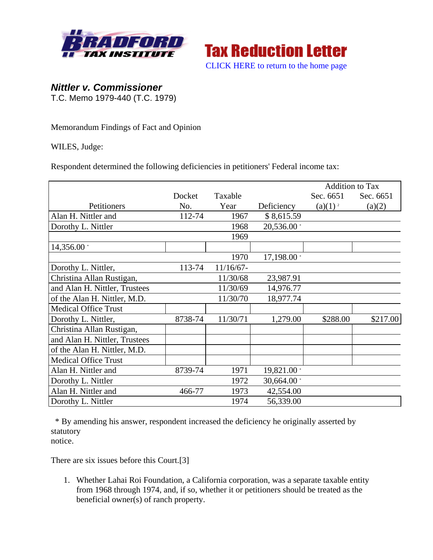



## *Nittler v. Commissioner*

T.C. Memo 1979-440 (T.C. 1979)

Memorandum Findings of Fact and Opinion

WILES, Judge:

Respondent determined the following deficiencies in petitioners' Federal income tax:

|                               |         |              |             | <b>Addition to Tax</b> |           |
|-------------------------------|---------|--------------|-------------|------------------------|-----------|
|                               | Docket  | Taxable      |             | Sec. 6651              | Sec. 6651 |
| Petitioners                   | No.     | Year         | Deficiency  | $(a)(1)^{2}$           | (a)(2)    |
| Alan H. Nittler and           | 112-74  | 1967         | \$8,615.59  |                        |           |
| Dorothy L. Nittler            |         | 1968         | 20,536.00 * |                        |           |
|                               |         | 1969         |             |                        |           |
| 14,356.00 *                   |         |              |             |                        |           |
|                               |         | 1970         | 17,198.00 * |                        |           |
| Dorothy L. Nittler,           | 113-74  | $11/16/67$ - |             |                        |           |
| Christina Allan Rustigan,     |         | 11/30/68     | 23,987.91   |                        |           |
| and Alan H. Nittler, Trustees |         | 11/30/69     | 14,976.77   |                        |           |
| of the Alan H. Nittler, M.D.  |         | 11/30/70     | 18,977.74   |                        |           |
| <b>Medical Office Trust</b>   |         |              |             |                        |           |
| Dorothy L. Nittler,           | 8738-74 | 11/30/71     | 1,279.00    | \$288.00               | \$217.00  |
| Christina Allan Rustigan,     |         |              |             |                        |           |
| and Alan H. Nittler, Trustees |         |              |             |                        |           |
| of the Alan H. Nittler, M.D.  |         |              |             |                        |           |
| <b>Medical Office Trust</b>   |         |              |             |                        |           |
| Alan H. Nittler and           | 8739-74 | 1971         | 19,821.00 * |                        |           |
| Dorothy L. Nittler            |         | 1972         | 30,664.00 * |                        |           |
| Alan H. Nittler and           | 466-77  | 1973         | 42,554.00   |                        |           |
| Dorothy L. Nittler            |         | 1974         | 56,339.00   |                        |           |

 \* By amending his answer, respondent increased the deficiency he originally asserted by statutory notice.

There are six issues before this Court.[3]

1. Whether Lahai Roi Foundation, a California corporation, was a separate taxable entity from 1968 through 1974, and, if so, whether it or petitioners should be treated as the beneficial owner(s) of ranch property.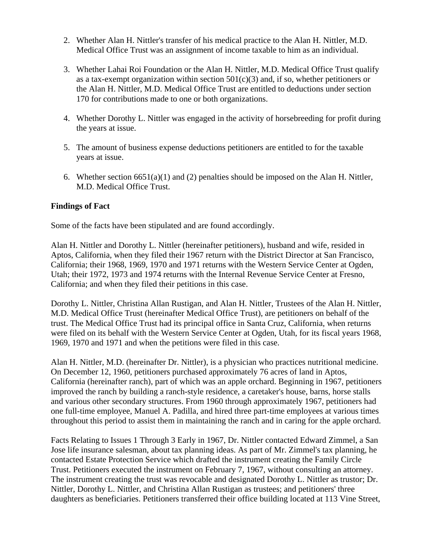- 2. Whether Alan H. Nittler's transfer of his medical practice to the Alan H. Nittler, M.D. Medical Office Trust was an assignment of income taxable to him as an individual.
- 3. Whether Lahai Roi Foundation or the Alan H. Nittler, M.D. Medical Office Trust qualify as a tax-exempt organization within section  $501(c)(3)$  and, if so, whether petitioners or the Alan H. Nittler, M.D. Medical Office Trust are entitled to deductions under section 170 for contributions made to one or both organizations.
- 4. Whether Dorothy L. Nittler was engaged in the activity of horsebreeding for profit during the years at issue.
- 5. The amount of business expense deductions petitioners are entitled to for the taxable years at issue.
- 6. Whether section  $6651(a)(1)$  and (2) penalties should be imposed on the Alan H. Nittler, M.D. Medical Office Trust.

## **Findings of Fact**

Some of the facts have been stipulated and are found accordingly.

Alan H. Nittler and Dorothy L. Nittler (hereinafter petitioners), husband and wife, resided in Aptos, California, when they filed their 1967 return with the District Director at San Francisco, California; their 1968, 1969, 1970 and 1971 returns with the Western Service Center at Ogden, Utah; their 1972, 1973 and 1974 returns with the Internal Revenue Service Center at Fresno, California; and when they filed their petitions in this case.

Dorothy L. Nittler, Christina Allan Rustigan, and Alan H. Nittler, Trustees of the Alan H. Nittler, M.D. Medical Office Trust (hereinafter Medical Office Trust), are petitioners on behalf of the trust. The Medical Office Trust had its principal office in Santa Cruz, California, when returns were filed on its behalf with the Western Service Center at Ogden, Utah, for its fiscal years 1968, 1969, 1970 and 1971 and when the petitions were filed in this case.

Alan H. Nittler, M.D. (hereinafter Dr. Nittler), is a physician who practices nutritional medicine. On December 12, 1960, petitioners purchased approximately 76 acres of land in Aptos, California (hereinafter ranch), part of which was an apple orchard. Beginning in 1967, petitioners improved the ranch by building a ranch-style residence, a caretaker's house, barns, horse stalls and various other secondary structures. From 1960 through approximately 1967, petitioners had one full-time employee, Manuel A. Padilla, and hired three part-time employees at various times throughout this period to assist them in maintaining the ranch and in caring for the apple orchard.

Facts Relating to Issues 1 Through 3 Early in 1967, Dr. Nittler contacted Edward Zimmel, a San Jose life insurance salesman, about tax planning ideas. As part of Mr. Zimmel's tax planning, he contacted Estate Protection Service which drafted the instrument creating the Family Circle Trust. Petitioners executed the instrument on February 7, 1967, without consulting an attorney. The instrument creating the trust was revocable and designated Dorothy L. Nittler as trustor; Dr. Nittler, Dorothy L. Nittler, and Christina Allan Rustigan as trustees; and petitioners' three daughters as beneficiaries. Petitioners transferred their office building located at 113 Vine Street,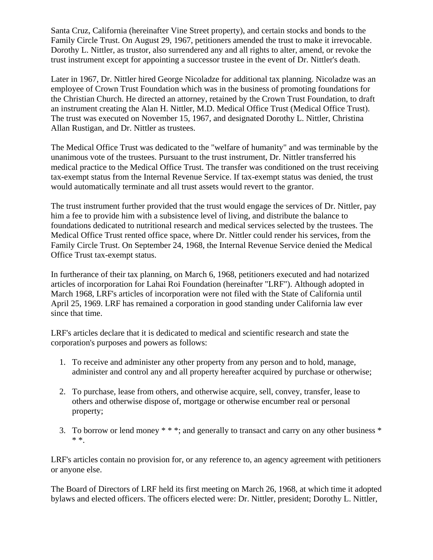Santa Cruz, California (hereinafter Vine Street property), and certain stocks and bonds to the Family Circle Trust. On August 29, 1967, petitioners amended the trust to make it irrevocable. Dorothy L. Nittler, as trustor, also surrendered any and all rights to alter, amend, or revoke the trust instrument except for appointing a successor trustee in the event of Dr. Nittler's death.

Later in 1967, Dr. Nittler hired George Nicoladze for additional tax planning. Nicoladze was an employee of Crown Trust Foundation which was in the business of promoting foundations for the Christian Church. He directed an attorney, retained by the Crown Trust Foundation, to draft an instrument creating the Alan H. Nittler, M.D. Medical Office Trust (Medical Office Trust). The trust was executed on November 15, 1967, and designated Dorothy L. Nittler, Christina Allan Rustigan, and Dr. Nittler as trustees.

The Medical Office Trust was dedicated to the "welfare of humanity" and was terminable by the unanimous vote of the trustees. Pursuant to the trust instrument, Dr. Nittler transferred his medical practice to the Medical Office Trust. The transfer was conditioned on the trust receiving tax-exempt status from the Internal Revenue Service. If tax-exempt status was denied, the trust would automatically terminate and all trust assets would revert to the grantor.

The trust instrument further provided that the trust would engage the services of Dr. Nittler, pay him a fee to provide him with a subsistence level of living, and distribute the balance to foundations dedicated to nutritional research and medical services selected by the trustees. The Medical Office Trust rented office space, where Dr. Nittler could render his services, from the Family Circle Trust. On September 24, 1968, the Internal Revenue Service denied the Medical Office Trust tax-exempt status.

In furtherance of their tax planning, on March 6, 1968, petitioners executed and had notarized articles of incorporation for Lahai Roi Foundation (hereinafter "LRF"). Although adopted in March 1968, LRF's articles of incorporation were not filed with the State of California until April 25, 1969. LRF has remained a corporation in good standing under California law ever since that time.

LRF's articles declare that it is dedicated to medical and scientific research and state the corporation's purposes and powers as follows:

- 1. To receive and administer any other property from any person and to hold, manage, administer and control any and all property hereafter acquired by purchase or otherwise;
- 2. To purchase, lease from others, and otherwise acquire, sell, convey, transfer, lease to others and otherwise dispose of, mortgage or otherwise encumber real or personal property;
- 3. To borrow or lend money \* \* \*; and generally to transact and carry on any other business \* \* \*.

LRF's articles contain no provision for, or any reference to, an agency agreement with petitioners or anyone else.

The Board of Directors of LRF held its first meeting on March 26, 1968, at which time it adopted bylaws and elected officers. The officers elected were: Dr. Nittler, president; Dorothy L. Nittler,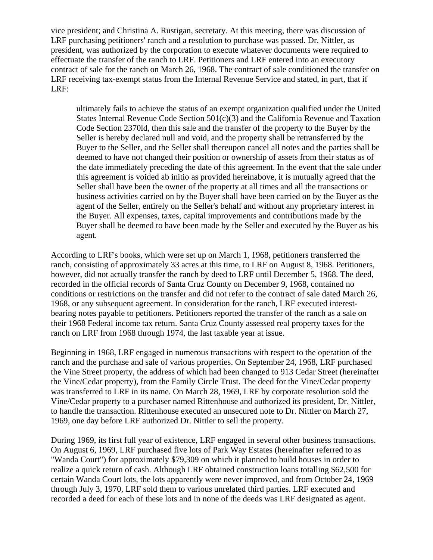vice president; and Christina A. Rustigan, secretary. At this meeting, there was discussion of LRF purchasing petitioners' ranch and a resolution to purchase was passed. Dr. Nittler, as president, was authorized by the corporation to execute whatever documents were required to effectuate the transfer of the ranch to LRF. Petitioners and LRF entered into an executory contract of sale for the ranch on March 26, 1968. The contract of sale conditioned the transfer on LRF receiving tax-exempt status from the Internal Revenue Service and stated, in part, that if LRF:

ultimately fails to achieve the status of an exempt organization qualified under the United States Internal Revenue Code Section 501(c)(3) and the California Revenue and Taxation Code Section 2370ld, then this sale and the transfer of the property to the Buyer by the Seller is hereby declared null and void, and the property shall be retransferred by the Buyer to the Seller, and the Seller shall thereupon cancel all notes and the parties shall be deemed to have not changed their position or ownership of assets from their status as of the date immediately preceding the date of this agreement. In the event that the sale under this agreement is voided ab initio as provided hereinabove, it is mutually agreed that the Seller shall have been the owner of the property at all times and all the transactions or business activities carried on by the Buyer shall have been carried on by the Buyer as the agent of the Seller, entirely on the Seller's behalf and without any proprietary interest in the Buyer. All expenses, taxes, capital improvements and contributions made by the Buyer shall be deemed to have been made by the Seller and executed by the Buyer as his agent.

According to LRF's books, which were set up on March 1, 1968, petitioners transferred the ranch, consisting of approximately 33 acres at this time, to LRF on August 8, 1968. Petitioners, however, did not actually transfer the ranch by deed to LRF until December 5, 1968. The deed, recorded in the official records of Santa Cruz County on December 9, 1968, contained no conditions or restrictions on the transfer and did not refer to the contract of sale dated March 26, 1968, or any subsequent agreement. In consideration for the ranch, LRF executed interestbearing notes payable to petitioners. Petitioners reported the transfer of the ranch as a sale on their 1968 Federal income tax return. Santa Cruz County assessed real property taxes for the ranch on LRF from 1968 through 1974, the last taxable year at issue.

Beginning in 1968, LRF engaged in numerous transactions with respect to the operation of the ranch and the purchase and sale of various properties. On September 24, 1968, LRF purchased the Vine Street property, the address of which had been changed to 913 Cedar Street (hereinafter the Vine/Cedar property), from the Family Circle Trust. The deed for the Vine/Cedar property was transferred to LRF in its name. On March 28, 1969, LRF by corporate resolution sold the Vine/Cedar property to a purchaser named Rittenhouse and authorized its president, Dr. Nittler, to handle the transaction. Rittenhouse executed an unsecured note to Dr. Nittler on March 27, 1969, one day before LRF authorized Dr. Nittler to sell the property.

During 1969, its first full year of existence, LRF engaged in several other business transactions. On August 6, 1969, LRF purchased five lots of Park Way Estates (hereinafter referred to as "Wanda Court") for approximately \$79,309 on which it planned to build houses in order to realize a quick return of cash. Although LRF obtained construction loans totalling \$62,500 for certain Wanda Court lots, the lots apparently were never improved, and from October 24, 1969 through July 3, 1970, LRF sold them to various unrelated third parties. LRF executed and recorded a deed for each of these lots and in none of the deeds was LRF designated as agent.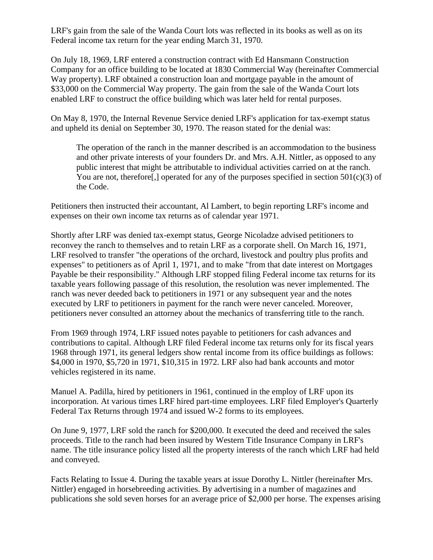LRF's gain from the sale of the Wanda Court lots was reflected in its books as well as on its Federal income tax return for the year ending March 31, 1970.

On July 18, 1969, LRF entered a construction contract with Ed Hansmann Construction Company for an office building to be located at 1830 Commercial Way (hereinafter Commercial Way property). LRF obtained a construction loan and mortgage payable in the amount of \$33,000 on the Commercial Way property. The gain from the sale of the Wanda Court lots enabled LRF to construct the office building which was later held for rental purposes.

On May 8, 1970, the Internal Revenue Service denied LRF's application for tax-exempt status and upheld its denial on September 30, 1970. The reason stated for the denial was:

The operation of the ranch in the manner described is an accommodation to the business and other private interests of your founders Dr. and Mrs. A.H. Nittler, as opposed to any public interest that might be attributable to individual activities carried on at the ranch. You are not, therefore<sup>[1]</sup>, operated for any of the purposes specified in section  $501(c)(3)$  of the Code.

Petitioners then instructed their accountant, Al Lambert, to begin reporting LRF's income and expenses on their own income tax returns as of calendar year 1971.

Shortly after LRF was denied tax-exempt status, George Nicoladze advised petitioners to reconvey the ranch to themselves and to retain LRF as a corporate shell. On March 16, 1971, LRF resolved to transfer "the operations of the orchard, livestock and poultry plus profits and expenses" to petitioners as of April 1, 1971, and to make "from that date interest on Mortgages Payable be their responsibility." Although LRF stopped filing Federal income tax returns for its taxable years following passage of this resolution, the resolution was never implemented. The ranch was never deeded back to petitioners in 1971 or any subsequent year and the notes executed by LRF to petitioners in payment for the ranch were never canceled. Moreover, petitioners never consulted an attorney about the mechanics of transferring title to the ranch.

From 1969 through 1974, LRF issued notes payable to petitioners for cash advances and contributions to capital. Although LRF filed Federal income tax returns only for its fiscal years 1968 through 1971, its general ledgers show rental income from its office buildings as follows: \$4,000 in 1970, \$5,720 in 1971, \$10,315 in 1972. LRF also had bank accounts and motor vehicles registered in its name.

Manuel A. Padilla, hired by petitioners in 1961, continued in the employ of LRF upon its incorporation. At various times LRF hired part-time employees. LRF filed Employer's Quarterly Federal Tax Returns through 1974 and issued W-2 forms to its employees.

On June 9, 1977, LRF sold the ranch for \$200,000. It executed the deed and received the sales proceeds. Title to the ranch had been insured by Western Title Insurance Company in LRF's name. The title insurance policy listed all the property interests of the ranch which LRF had held and conveyed.

Facts Relating to Issue 4. During the taxable years at issue Dorothy L. Nittler (hereinafter Mrs. Nittler) engaged in horsebreeding activities. By advertising in a number of magazines and publications she sold seven horses for an average price of \$2,000 per horse. The expenses arising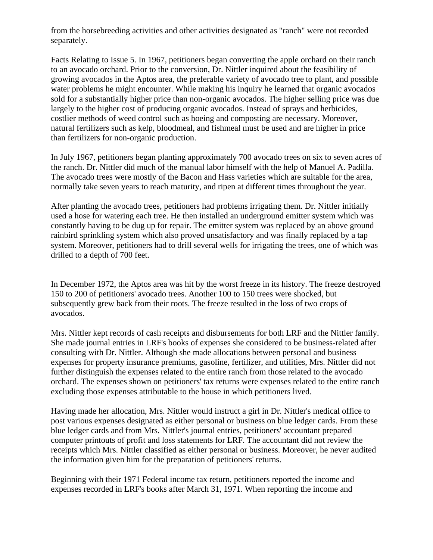from the horsebreeding activities and other activities designated as "ranch" were not recorded separately.

Facts Relating to Issue 5. In 1967, petitioners began converting the apple orchard on their ranch to an avocado orchard. Prior to the conversion, Dr. Nittler inquired about the feasibility of growing avocados in the Aptos area, the preferable variety of avocado tree to plant, and possible water problems he might encounter. While making his inquiry he learned that organic avocados sold for a substantially higher price than non-organic avocados. The higher selling price was due largely to the higher cost of producing organic avocados. Instead of sprays and herbicides, costlier methods of weed control such as hoeing and composting are necessary. Moreover, natural fertilizers such as kelp, bloodmeal, and fishmeal must be used and are higher in price than fertilizers for non-organic production.

In July 1967, petitioners began planting approximately 700 avocado trees on six to seven acres of the ranch. Dr. Nittler did much of the manual labor himself with the help of Manuel A. Padilla. The avocado trees were mostly of the Bacon and Hass varieties which are suitable for the area, normally take seven years to reach maturity, and ripen at different times throughout the year.

After planting the avocado trees, petitioners had problems irrigating them. Dr. Nittler initially used a hose for watering each tree. He then installed an underground emitter system which was constantly having to be dug up for repair. The emitter system was replaced by an above ground rainbird sprinkling system which also proved unsatisfactory and was finally replaced by a tap system. Moreover, petitioners had to drill several wells for irrigating the trees, one of which was drilled to a depth of 700 feet.

In December 1972, the Aptos area was hit by the worst freeze in its history. The freeze destroyed 150 to 200 of petitioners' avocado trees. Another 100 to 150 trees were shocked, but subsequently grew back from their roots. The freeze resulted in the loss of two crops of avocados.

Mrs. Nittler kept records of cash receipts and disbursements for both LRF and the Nittler family. She made journal entries in LRF's books of expenses she considered to be business-related after consulting with Dr. Nittler. Although she made allocations between personal and business expenses for property insurance premiums, gasoline, fertilizer, and utilities, Mrs. Nittler did not further distinguish the expenses related to the entire ranch from those related to the avocado orchard. The expenses shown on petitioners' tax returns were expenses related to the entire ranch excluding those expenses attributable to the house in which petitioners lived.

Having made her allocation, Mrs. Nittler would instruct a girl in Dr. Nittler's medical office to post various expenses designated as either personal or business on blue ledger cards. From these blue ledger cards and from Mrs. Nittler's journal entries, petitioners' accountant prepared computer printouts of profit and loss statements for LRF. The accountant did not review the receipts which Mrs. Nittler classified as either personal or business. Moreover, he never audited the information given him for the preparation of petitioners' returns.

Beginning with their 1971 Federal income tax return, petitioners reported the income and expenses recorded in LRF's books after March 31, 1971. When reporting the income and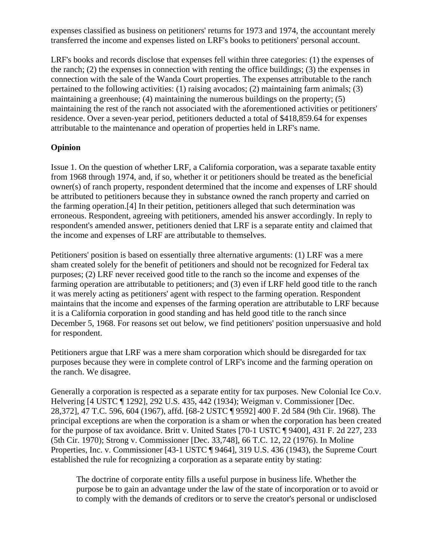expenses classified as business on petitioners' returns for 1973 and 1974, the accountant merely transferred the income and expenses listed on LRF's books to petitioners' personal account.

LRF's books and records disclose that expenses fell within three categories: (1) the expenses of the ranch; (2) the expenses in connection with renting the office buildings; (3) the expenses in connection with the sale of the Wanda Court properties. The expenses attributable to the ranch pertained to the following activities: (1) raising avocados; (2) maintaining farm animals; (3) maintaining a greenhouse; (4) maintaining the numerous buildings on the property; (5) maintaining the rest of the ranch not associated with the aforementioned activities or petitioners' residence. Over a seven-year period, petitioners deducted a total of \$418,859.64 for expenses attributable to the maintenance and operation of properties held in LRF's name.

## **Opinion**

Issue 1. On the question of whether LRF, a California corporation, was a separate taxable entity from 1968 through 1974, and, if so, whether it or petitioners should be treated as the beneficial owner(s) of ranch property, respondent determined that the income and expenses of LRF should be attributed to petitioners because they in substance owned the ranch property and carried on the farming operation.[4] In their petition, petitioners alleged that such determination was erroneous. Respondent, agreeing with petitioners, amended his answer accordingly. In reply to respondent's amended answer, petitioners denied that LRF is a separate entity and claimed that the income and expenses of LRF are attributable to themselves.

Petitioners' position is based on essentially three alternative arguments: (1) LRF was a mere sham created solely for the benefit of petitioners and should not be recognized for Federal tax purposes; (2) LRF never received good title to the ranch so the income and expenses of the farming operation are attributable to petitioners; and (3) even if LRF held good title to the ranch it was merely acting as petitioners' agent with respect to the farming operation. Respondent maintains that the income and expenses of the farming operation are attributable to LRF because it is a California corporation in good standing and has held good title to the ranch since December 5, 1968. For reasons set out below, we find petitioners' position unpersuasive and hold for respondent.

Petitioners argue that LRF was a mere sham corporation which should be disregarded for tax purposes because they were in complete control of LRF's income and the farming operation on the ranch. We disagree.

Generally a corporation is respected as a separate entity for tax purposes. New Colonial Ice Co.v. Helvering [4 USTC ¶ 1292], 292 U.S. 435, 442 (1934); Weigman v. Commissioner [Dec. 28,372], 47 T.C. 596, 604 (1967), affd. [68-2 USTC ¶ 9592] 400 F. 2d 584 (9th Cir. 1968). The principal exceptions are when the corporation is a sham or when the corporation has been created for the purpose of tax avoidance. Britt v. United States [70-1 USTC ¶ 9400], 431 F. 2d 227, 233 (5th Cir. 1970); Strong v. Commissioner [Dec. 33,748], 66 T.C. 12, 22 (1976). In Moline Properties, Inc. v. Commissioner [43-1 USTC ¶ 9464], 319 U.S. 436 (1943), the Supreme Court established the rule for recognizing a corporation as a separate entity by stating:

The doctrine of corporate entity fills a useful purpose in business life. Whether the purpose be to gain an advantage under the law of the state of incorporation or to avoid or to comply with the demands of creditors or to serve the creator's personal or undisclosed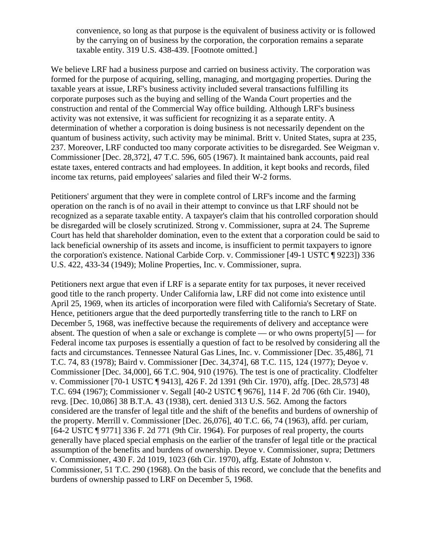convenience, so long as that purpose is the equivalent of business activity or is followed by the carrying on of business by the corporation, the corporation remains a separate taxable entity. 319 U.S. 438-439. [Footnote omitted.]

We believe LRF had a business purpose and carried on business activity. The corporation was formed for the purpose of acquiring, selling, managing, and mortgaging properties. During the taxable years at issue, LRF's business activity included several transactions fulfilling its corporate purposes such as the buying and selling of the Wanda Court properties and the construction and rental of the Commercial Way office building. Although LRF's business activity was not extensive, it was sufficient for recognizing it as a separate entity. A determination of whether a corporation is doing business is not necessarily dependent on the quantum of business activity, such activity may be minimal. Britt v. United States, supra at 235, 237. Moreover, LRF conducted too many corporate activities to be disregarded. See Weigman v. Commissioner [Dec. 28,372], 47 T.C. 596, 605 (1967). It maintained bank accounts, paid real estate taxes, entered contracts and had employees. In addition, it kept books and records, filed income tax returns, paid employees' salaries and filed their W-2 forms.

Petitioners' argument that they were in complete control of LRF's income and the farming operation on the ranch is of no avail in their attempt to convince us that LRF should not be recognized as a separate taxable entity. A taxpayer's claim that his controlled corporation should be disregarded will be closely scrutinized. Strong v. Commissioner, supra at 24. The Supreme Court has held that shareholder domination, even to the extent that a corporation could be said to lack beneficial ownership of its assets and income, is insufficient to permit taxpayers to ignore the corporation's existence. National Carbide Corp. v. Commissioner [49-1 USTC ¶ 9223]) 336 U.S. 422, 433-34 (1949); Moline Properties, Inc. v. Commissioner, supra.

Petitioners next argue that even if LRF is a separate entity for tax purposes, it never received good title to the ranch property. Under California law, LRF did not come into existence until April 25, 1969, when its articles of incorporation were filed with California's Secretary of State. Hence, petitioners argue that the deed purportedly transferring title to the ranch to LRF on December 5, 1968, was ineffective because the requirements of delivery and acceptance were absent. The question of when a sale or exchange is complete — or who owns property $[5]$  — for Federal income tax purposes is essentially a question of fact to be resolved by considering all the facts and circumstances. Tennessee Natural Gas Lines, Inc. v. Commissioner [Dec. 35,486], 71 T.C. 74, 83 (1978); Baird v. Commissioner [Dec. 34,374], 68 T.C. 115, 124 (1977); Deyoe v. Commissioner [Dec. 34,000], 66 T.C. 904, 910 (1976). The test is one of practicality. Clodfelter v. Commissioner [70-1 USTC ¶ 9413], 426 F. 2d 1391 (9th Cir. 1970), affg. [Dec. 28,573] 48 T.C. 694 (1967); Commissioner v. Segall [40-2 USTC ¶ 9676], 114 F. 2d 706 (6th Cir. 1940), revg. [Dec. 10,086] 38 B.T.A. 43 (1938), cert. denied 313 U.S. 562. Among the factors considered are the transfer of legal title and the shift of the benefits and burdens of ownership of the property. Merrill v. Commissioner [Dec. 26,076], 40 T.C. 66, 74 (1963), affd. per curiam, [64-2 USTC ¶ 9771] 336 F. 2d 771 (9th Cir. 1964). For purposes of real property, the courts generally have placed special emphasis on the earlier of the transfer of legal title or the practical assumption of the benefits and burdens of ownership. Deyoe v. Commissioner, supra; Dettmers v. Commissioner, 430 F. 2d 1019, 1023 (6th Cir. 1970), affg. Estate of Johnston v. Commissioner, 51 T.C. 290 (1968). On the basis of this record, we conclude that the benefits and burdens of ownership passed to LRF on December 5, 1968.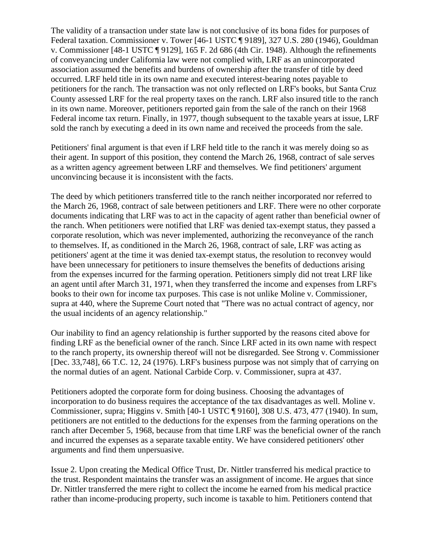The validity of a transaction under state law is not conclusive of its bona fides for purposes of Federal taxation. Commissioner v. Tower [46-1 USTC ¶ 9189], 327 U.S. 280 (1946), Gouldman v. Commissioner [48-1 USTC ¶ 9129], 165 F. 2d 686 (4th Cir. 1948). Although the refinements of conveyancing under California law were not complied with, LRF as an unincorporated association assumed the benefits and burdens of ownership after the transfer of title by deed occurred. LRF held title in its own name and executed interest-bearing notes payable to petitioners for the ranch. The transaction was not only reflected on LRF's books, but Santa Cruz County assessed LRF for the real property taxes on the ranch. LRF also insured title to the ranch in its own name. Moreover, petitioners reported gain from the sale of the ranch on their 1968 Federal income tax return. Finally, in 1977, though subsequent to the taxable years at issue, LRF sold the ranch by executing a deed in its own name and received the proceeds from the sale.

Petitioners' final argument is that even if LRF held title to the ranch it was merely doing so as their agent. In support of this position, they contend the March 26, 1968, contract of sale serves as a written agency agreement between LRF and themselves. We find petitioners' argument unconvincing because it is inconsistent with the facts.

The deed by which petitioners transferred title to the ranch neither incorporated nor referred to the March 26, 1968, contract of sale between petitioners and LRF. There were no other corporate documents indicating that LRF was to act in the capacity of agent rather than beneficial owner of the ranch. When petitioners were notified that LRF was denied tax-exempt status, they passed a corporate resolution, which was never implemented, authorizing the reconveyance of the ranch to themselves. If, as conditioned in the March 26, 1968, contract of sale, LRF was acting as petitioners' agent at the time it was denied tax-exempt status, the resolution to reconvey would have been unnecessary for petitioners to insure themselves the benefits of deductions arising from the expenses incurred for the farming operation. Petitioners simply did not treat LRF like an agent until after March 31, 1971, when they transferred the income and expenses from LRF's books to their own for income tax purposes. This case is not unlike Moline v. Commissioner, supra at 440, where the Supreme Court noted that "There was no actual contract of agency, nor the usual incidents of an agency relationship."

Our inability to find an agency relationship is further supported by the reasons cited above for finding LRF as the beneficial owner of the ranch. Since LRF acted in its own name with respect to the ranch property, its ownership thereof will not be disregarded. See Strong v. Commissioner [Dec. 33,748], 66 T.C. 12, 24 (1976). LRF's business purpose was not simply that of carrying on the normal duties of an agent. National Carbide Corp. v. Commissioner, supra at 437.

Petitioners adopted the corporate form for doing business. Choosing the advantages of incorporation to do business requires the acceptance of the tax disadvantages as well. Moline v. Commissioner, supra; Higgins v. Smith [40-1 USTC ¶ 9160], 308 U.S. 473, 477 (1940). In sum, petitioners are not entitled to the deductions for the expenses from the farming operations on the ranch after December 5, 1968, because from that time LRF was the beneficial owner of the ranch and incurred the expenses as a separate taxable entity. We have considered petitioners' other arguments and find them unpersuasive.

Issue 2. Upon creating the Medical Office Trust, Dr. Nittler transferred his medical practice to the trust. Respondent maintains the transfer was an assignment of income. He argues that since Dr. Nittler transferred the mere right to collect the income he earned from his medical practice rather than income-producing property, such income is taxable to him. Petitioners contend that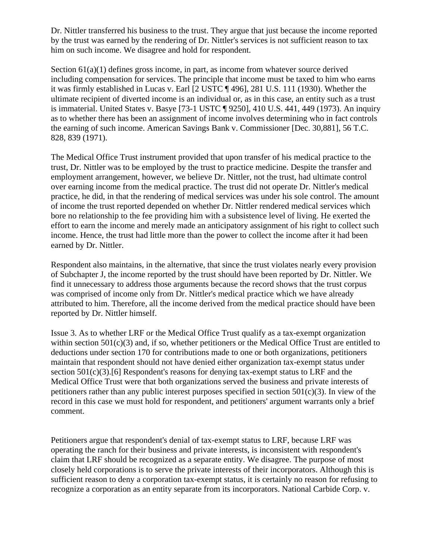Dr. Nittler transferred his business to the trust. They argue that just because the income reported by the trust was earned by the rendering of Dr. Nittler's services is not sufficient reason to tax him on such income. We disagree and hold for respondent.

Section  $61(a)(1)$  defines gross income, in part, as income from whatever source derived including compensation for services. The principle that income must be taxed to him who earns it was firmly established in Lucas v. Earl [2 USTC ¶ 496], 281 U.S. 111 (1930). Whether the ultimate recipient of diverted income is an individual or, as in this case, an entity such as a trust is immaterial. United States v. Basye [73-1 USTC ¶ 9250], 410 U.S. 441, 449 (1973). An inquiry as to whether there has been an assignment of income involves determining who in fact controls the earning of such income. American Savings Bank v. Commissioner [Dec. 30,881], 56 T.C. 828, 839 (1971).

The Medical Office Trust instrument provided that upon transfer of his medical practice to the trust, Dr. Nittler was to be employed by the trust to practice medicine. Despite the transfer and employment arrangement, however, we believe Dr. Nittler, not the trust, had ultimate control over earning income from the medical practice. The trust did not operate Dr. Nittler's medical practice, he did, in that the rendering of medical services was under his sole control. The amount of income the trust reported depended on whether Dr. Nittler rendered medical services which bore no relationship to the fee providing him with a subsistence level of living. He exerted the effort to earn the income and merely made an anticipatory assignment of his right to collect such income. Hence, the trust had little more than the power to collect the income after it had been earned by Dr. Nittler.

Respondent also maintains, in the alternative, that since the trust violates nearly every provision of Subchapter J, the income reported by the trust should have been reported by Dr. Nittler. We find it unnecessary to address those arguments because the record shows that the trust corpus was comprised of income only from Dr. Nittler's medical practice which we have already attributed to him. Therefore, all the income derived from the medical practice should have been reported by Dr. Nittler himself.

Issue 3. As to whether LRF or the Medical Office Trust qualify as a tax-exempt organization within section 501(c)(3) and, if so, whether petitioners or the Medical Office Trust are entitled to deductions under section 170 for contributions made to one or both organizations, petitioners maintain that respondent should not have denied either organization tax-exempt status under section  $501(c)(3)$ .[6] Respondent's reasons for denying tax-exempt status to LRF and the Medical Office Trust were that both organizations served the business and private interests of petitioners rather than any public interest purposes specified in section  $501(c)(3)$ . In view of the record in this case we must hold for respondent, and petitioners' argument warrants only a brief comment.

Petitioners argue that respondent's denial of tax-exempt status to LRF, because LRF was operating the ranch for their business and private interests, is inconsistent with respondent's claim that LRF should be recognized as a separate entity. We disagree. The purpose of most closely held corporations is to serve the private interests of their incorporators. Although this is sufficient reason to deny a corporation tax-exempt status, it is certainly no reason for refusing to recognize a corporation as an entity separate from its incorporators. National Carbide Corp. v.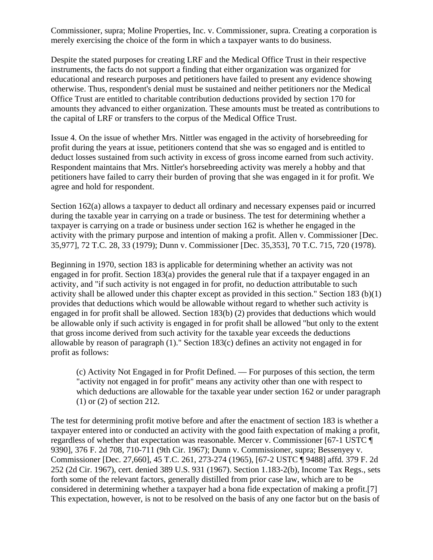Commissioner, supra; Moline Properties, Inc. v. Commissioner, supra. Creating a corporation is merely exercising the choice of the form in which a taxpayer wants to do business.

Despite the stated purposes for creating LRF and the Medical Office Trust in their respective instruments, the facts do not support a finding that either organization was organized for educational and research purposes and petitioners have failed to present any evidence showing otherwise. Thus, respondent's denial must be sustained and neither petitioners nor the Medical Office Trust are entitled to charitable contribution deductions provided by section 170 for amounts they advanced to either organization. These amounts must be treated as contributions to the capital of LRF or transfers to the corpus of the Medical Office Trust.

Issue 4. On the issue of whether Mrs. Nittler was engaged in the activity of horsebreeding for profit during the years at issue, petitioners contend that she was so engaged and is entitled to deduct losses sustained from such activity in excess of gross income earned from such activity. Respondent maintains that Mrs. Nittler's horsebreeding activity was merely a hobby and that petitioners have failed to carry their burden of proving that she was engaged in it for profit. We agree and hold for respondent.

Section 162(a) allows a taxpayer to deduct all ordinary and necessary expenses paid or incurred during the taxable year in carrying on a trade or business. The test for determining whether a taxpayer is carrying on a trade or business under section 162 is whether he engaged in the activity with the primary purpose and intention of making a profit. Allen v. Commissioner [Dec. 35,977], 72 T.C. 28, 33 (1979); Dunn v. Commissioner [Dec. 35,353], 70 T.C. 715, 720 (1978).

Beginning in 1970, section 183 is applicable for determining whether an activity was not engaged in for profit. Section 183(a) provides the general rule that if a taxpayer engaged in an activity, and "if such activity is not engaged in for profit, no deduction attributable to such activity shall be allowed under this chapter except as provided in this section." Section 183 (b)(1) provides that deductions which would be allowable without regard to whether such activity is engaged in for profit shall be allowed. Section 183(b) (2) provides that deductions which would be allowable only if such activity is engaged in for profit shall be allowed "but only to the extent that gross income derived from such activity for the taxable year exceeds the deductions allowable by reason of paragraph (1)." Section 183(c) defines an activity not engaged in for profit as follows:

(c) Activity Not Engaged in for Profit Defined. — For purposes of this section, the term "activity not engaged in for profit" means any activity other than one with respect to which deductions are allowable for the taxable year under section 162 or under paragraph (1) or (2) of section 212.

The test for determining profit motive before and after the enactment of section 183 is whether a taxpayer entered into or conducted an activity with the good faith expectation of making a profit, regardless of whether that expectation was reasonable. Mercer v. Commissioner [67-1 USTC ¶ 9390], 376 F. 2d 708, 710-711 (9th Cir. 1967); Dunn v. Commissioner, supra; Bessenyey v. Commissioner [Dec. 27,660], 45 T.C. 261, 273-274 (1965), [67-2 USTC ¶ 9488] affd. 379 F. 2d 252 (2d Cir. 1967), cert. denied 389 U.S. 931 (1967). Section 1.183-2(b), Income Tax Regs., sets forth some of the relevant factors, generally distilled from prior case law, which are to be considered in determining whether a taxpayer had a bona fide expectation of making a profit.[7] This expectation, however, is not to be resolved on the basis of any one factor but on the basis of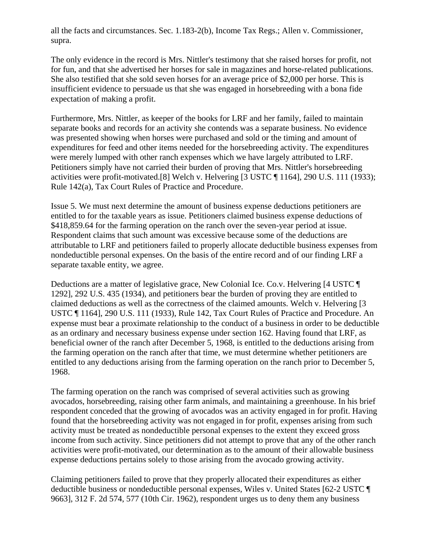all the facts and circumstances. Sec. 1.183-2(b), Income Tax Regs.; Allen v. Commissioner, supra.

The only evidence in the record is Mrs. Nittler's testimony that she raised horses for profit, not for fun, and that she advertised her horses for sale in magazines and horse-related publications. She also testified that she sold seven horses for an average price of \$2,000 per horse. This is insufficient evidence to persuade us that she was engaged in horsebreeding with a bona fide expectation of making a profit.

Furthermore, Mrs. Nittler, as keeper of the books for LRF and her family, failed to maintain separate books and records for an activity she contends was a separate business. No evidence was presented showing when horses were purchased and sold or the timing and amount of expenditures for feed and other items needed for the horsebreeding activity. The expenditures were merely lumped with other ranch expenses which we have largely attributed to LRF. Petitioners simply have not carried their burden of proving that Mrs. Nittler's horsebreeding activities were profit-motivated.[8] Welch v. Helvering [3 USTC ¶ 1164], 290 U.S. 111 (1933); Rule 142(a), Tax Court Rules of Practice and Procedure.

Issue 5. We must next determine the amount of business expense deductions petitioners are entitled to for the taxable years as issue. Petitioners claimed business expense deductions of \$418,859.64 for the farming operation on the ranch over the seven-year period at issue. Respondent claims that such amount was excessive because some of the deductions are attributable to LRF and petitioners failed to properly allocate deductible business expenses from nondeductible personal expenses. On the basis of the entire record and of our finding LRF a separate taxable entity, we agree.

Deductions are a matter of legislative grace, New Colonial Ice. Co.v. Helvering [4 USTC ] 1292], 292 U.S. 435 (1934), and petitioners bear the burden of proving they are entitled to claimed deductions as well as the correctness of the claimed amounts. Welch v. Helvering [3 USTC ¶ 1164], 290 U.S. 111 (1933), Rule 142, Tax Court Rules of Practice and Procedure. An expense must bear a proximate relationship to the conduct of a business in order to be deductible as an ordinary and necessary business expense under section 162. Having found that LRF, as beneficial owner of the ranch after December 5, 1968, is entitled to the deductions arising from the farming operation on the ranch after that time, we must determine whether petitioners are entitled to any deductions arising from the farming operation on the ranch prior to December 5, 1968.

The farming operation on the ranch was comprised of several activities such as growing avocados, horsebreeding, raising other farm animals, and maintaining a greenhouse. In his brief respondent conceded that the growing of avocados was an activity engaged in for profit. Having found that the horsebreeding activity was not engaged in for profit, expenses arising from such activity must be treated as nondeductible personal expenses to the extent they exceed gross income from such activity. Since petitioners did not attempt to prove that any of the other ranch activities were profit-motivated, our determination as to the amount of their allowable business expense deductions pertains solely to those arising from the avocado growing activity.

Claiming petitioners failed to prove that they properly allocated their expenditures as either deductible business or nondeductible personal expenses, Wiles v. United States [62-2 USTC ¶ 9663], 312 F. 2d 574, 577 (10th Cir. 1962), respondent urges us to deny them any business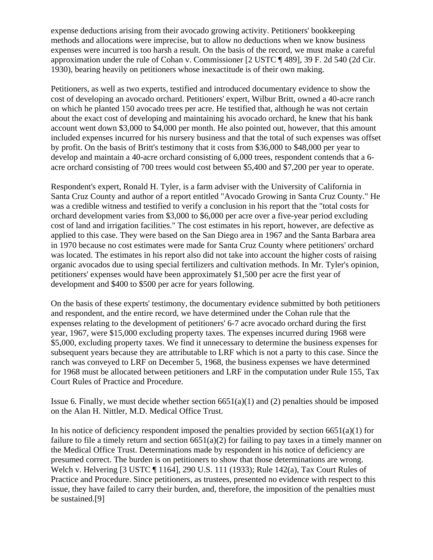expense deductions arising from their avocado growing activity. Petitioners' bookkeeping methods and allocations were imprecise, but to allow no deductions when we know business expenses were incurred is too harsh a result. On the basis of the record, we must make a careful approximation under the rule of Cohan v. Commissioner [2 USTC ¶ 489], 39 F. 2d 540 (2d Cir. 1930), bearing heavily on petitioners whose inexactitude is of their own making.

Petitioners, as well as two experts, testified and introduced documentary evidence to show the cost of developing an avocado orchard. Petitioners' expert, Wilbur Britt, owned a 40-acre ranch on which he planted 150 avocado trees per acre. He testified that, although he was not certain about the exact cost of developing and maintaining his avocado orchard, he knew that his bank account went down \$3,000 to \$4,000 per month. He also pointed out, however, that this amount included expenses incurred for his nursery business and that the total of such expenses was offset by profit. On the basis of Britt's testimony that it costs from \$36,000 to \$48,000 per year to develop and maintain a 40-acre orchard consisting of 6,000 trees, respondent contends that a 6 acre orchard consisting of 700 trees would cost between \$5,400 and \$7,200 per year to operate.

Respondent's expert, Ronald H. Tyler, is a farm adviser with the University of California in Santa Cruz County and author of a report entitled "Avocado Growing in Santa Cruz County." He was a credible witness and testified to verify a conclusion in his report that the "total costs for orchard development varies from \$3,000 to \$6,000 per acre over a five-year period excluding cost of land and irrigation facilities." The cost estimates in his report, however, are defective as applied to this case. They were based on the San Diego area in 1967 and the Santa Barbara area in 1970 because no cost estimates were made for Santa Cruz County where petitioners' orchard was located. The estimates in his report also did not take into account the higher costs of raising organic avocados due to using special fertilizers and cultivation methods. In Mr. Tyler's opinion, petitioners' expenses would have been approximately \$1,500 per acre the first year of development and \$400 to \$500 per acre for years following.

On the basis of these experts' testimony, the documentary evidence submitted by both petitioners and respondent, and the entire record, we have determined under the Cohan rule that the expenses relating to the development of petitioners' 6-7 acre avocado orchard during the first year, 1967, were \$15,000 excluding property taxes. The expenses incurred during 1968 were \$5,000, excluding property taxes. We find it unnecessary to determine the business expenses for subsequent years because they are attributable to LRF which is not a party to this case. Since the ranch was conveyed to LRF on December 5, 1968, the business expenses we have determined for 1968 must be allocated between petitioners and LRF in the computation under Rule 155, Tax Court Rules of Practice and Procedure.

Issue 6. Finally, we must decide whether section  $6651(a)(1)$  and (2) penalties should be imposed on the Alan H. Nittler, M.D. Medical Office Trust.

In his notice of deficiency respondent imposed the penalties provided by section  $6651(a)(1)$  for failure to file a timely return and section 6651(a)(2) for failing to pay taxes in a timely manner on the Medical Office Trust. Determinations made by respondent in his notice of deficiency are presumed correct. The burden is on petitioners to show that those determinations are wrong. Welch v. Helvering [3 USTC ¶ 1164], 290 U.S. 111 (1933); Rule 142(a), Tax Court Rules of Practice and Procedure. Since petitioners, as trustees, presented no evidence with respect to this issue, they have failed to carry their burden, and, therefore, the imposition of the penalties must be sustained.[9]